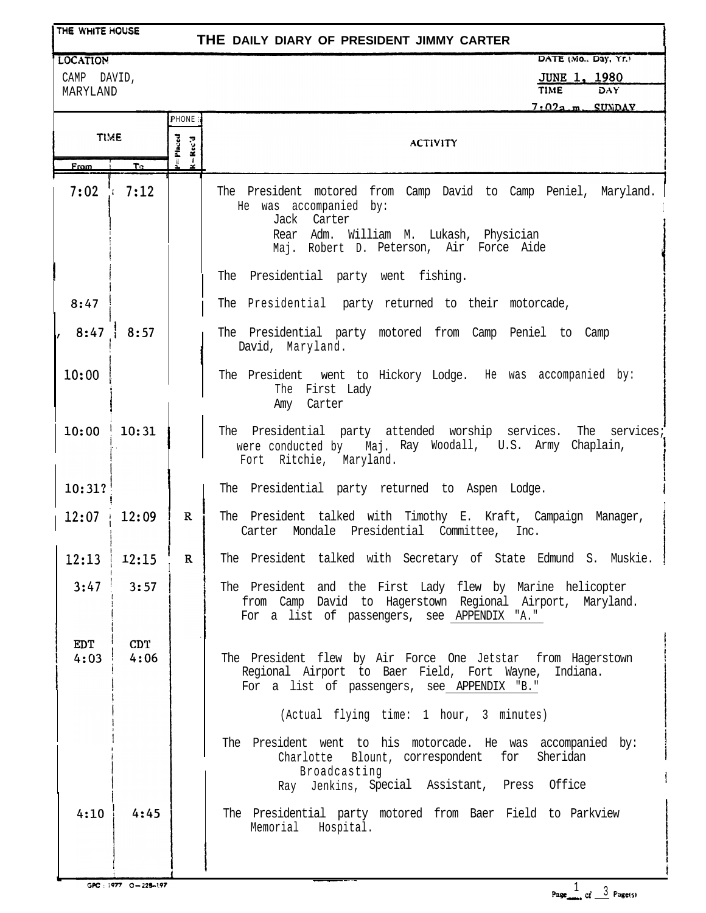| THE WHITE HOUSE<br>THE DAILY DIARY OF PRESIDENT JIMMY CARTER |              |                       |                                                                                                                                                                                |  |  |
|--------------------------------------------------------------|--------------|-----------------------|--------------------------------------------------------------------------------------------------------------------------------------------------------------------------------|--|--|
| <b>LOCATION</b>                                              |              |                       | DATE (Mo., Day, Yr.)                                                                                                                                                           |  |  |
| CAMP DAVID,                                                  |              |                       | <b>JUNE 1, 1980</b>                                                                                                                                                            |  |  |
| MARYLAND                                                     |              |                       | <b>TIME</b><br>DAY.<br>$7:02a.m.$ SUNDAY                                                                                                                                       |  |  |
|                                                              |              | <b>IPHONE</b>         |                                                                                                                                                                                |  |  |
| <b>TIME</b>                                                  |              | P=Placed<br>$-$ Rec'd | <b>ACTIVITY</b>                                                                                                                                                                |  |  |
| <b>From</b>                                                  | $T_{\Omega}$ | ż.                    |                                                                                                                                                                                |  |  |
| 7:02                                                         | 1.7:12       |                       | The President motored from Camp David to Camp Peniel, Maryland.<br>He was accompanied by:<br>Jack Carter<br>Rear Adm. William M. Lukash, Physician                             |  |  |
|                                                              |              |                       | Maj. Robert D. Peterson, Air Force Aide                                                                                                                                        |  |  |
|                                                              |              |                       | The Presidential party went fishing.                                                                                                                                           |  |  |
| 8:47                                                         |              |                       | The Presidential party returned to their motorcade,                                                                                                                            |  |  |
| , 8:47                                                       | 8:57         |                       | The Presidential party motored from Camp Peniel to Camp<br>David, Maryland.                                                                                                    |  |  |
| 10:00                                                        |              |                       | The President went to Hickory Lodge. He was accompanied by:<br>The First Lady<br>Amy Carter                                                                                    |  |  |
| 10:00                                                        | 10:31        |                       | The Presidential party attended worship services. The services;<br>were conducted by Maj. Ray Woodall, U.S. Army Chaplain,<br>Fort Ritchie, Maryland.                          |  |  |
| 10:31?                                                       |              |                       | The Presidential party returned to Aspen Lodge.                                                                                                                                |  |  |
| $12:07 + 12:09$                                              |              | R <sub>i</sub>        | The President talked with Timothy E. Kraft, Campaign Manager,<br>Carter Mondale Presidential Committee,<br>Inc.                                                                |  |  |
| 12:13                                                        | 12:15        | $\mathbf{R}$          | The President talked with Secretary of State Edmund S. Muskie.                                                                                                                 |  |  |
| 3:47                                                         | 3:57         |                       | The President and the First Lady flew by Marine helicopter<br>from Camp David to Hagerstown Regional Airport, Maryland.<br>For a list of passengers, see APPENDIX "A."         |  |  |
| <b>EDT</b><br>4:03                                           | CDT.<br>4:06 |                       | The President flew by Air Force One Jetstar from Hagerstown<br>Regional Airport to Baer Field, Fort Wayne, Indiana.<br>For a list of passengers, see APPENDIX "B."             |  |  |
|                                                              |              |                       | (Actual flying time: 1 hour, 3 minutes)                                                                                                                                        |  |  |
|                                                              |              |                       | The President went to his motorcade. He was accompanied by:<br>Sheridan<br>Charlotte Blount, correspondent for<br>Broadcasting<br>Ray Jenkins, Special Assistant, Press Office |  |  |
| 4:10                                                         | 4:45         |                       | The Presidential party motored from Baer Field to Parkview<br>Memorial<br>Hospital.                                                                                            |  |  |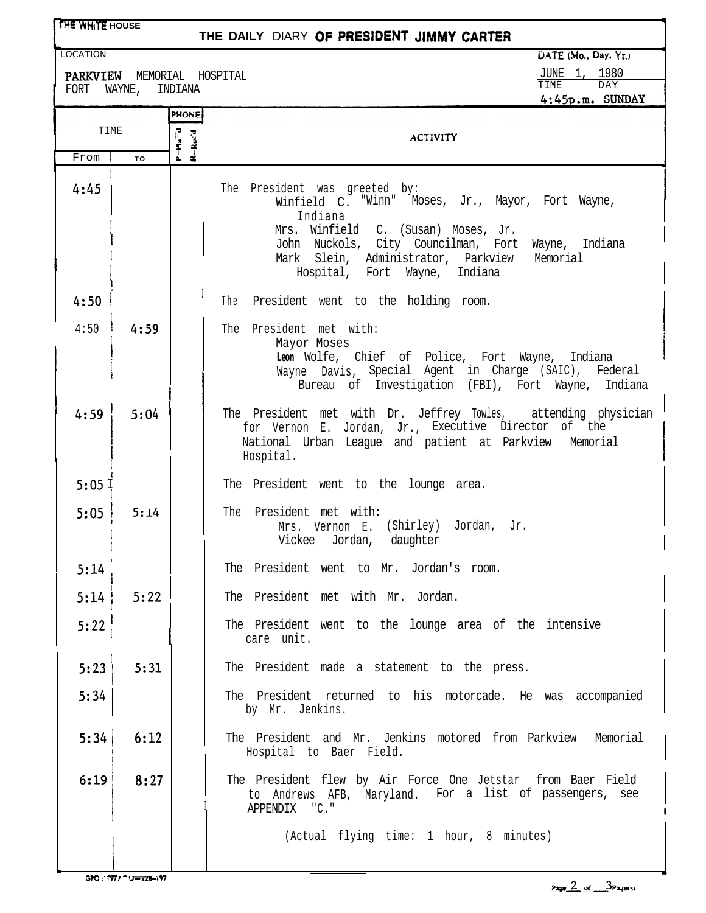## **THE WHITE HOUSE**

## THE DAILY DIARY OF PRESIDENT JIMMY CARTER

PARKVIEW MEMORIAL HOSPITAL <br>FORT WAYNE, INDIANA **JUNE 1, 1980**<br>4:45p.m. SUNDAY FORT WAYNE, INDIANA

LOCATION **intervalse in the contract of the contract of the contract of the contract of the contract of the contract of the contract of the contract of the contract of the contract of the contract of the contract of the co** 

|              |               | <b>PHONE</b>                 | <b>↑。 ヿノレ。…。 いいいレム」</b>                                                                                                                                                                                                                                                        |
|--------------|---------------|------------------------------|--------------------------------------------------------------------------------------------------------------------------------------------------------------------------------------------------------------------------------------------------------------------------------|
| TIME         |               | Pa <sup>=</sup> d<br>R-Rec'd | <b>ACTIVITY</b>                                                                                                                                                                                                                                                                |
| From<br>4:45 | TO            | ś.                           | The President was greeted by:<br>Winfield C. "Winn" Moses, Jr., Mayor, Fort Wayne,<br>Indiana<br>Mrs. Winfield C. (Susan) Moses, Jr.<br>John Nuckols, City Councilman, Fort Wayne, Indiana<br>Mark Slein, Administrator, Parkview<br>Memorial<br>Hospital, Fort Wayne, Indiana |
| 4:50         |               |                              | The President went to the holding room.                                                                                                                                                                                                                                        |
|              | $4:50$ $4:59$ |                              | The President met with:<br>Mayor Moses<br>Leon Wolfe, Chief of Police, Fort Wayne,<br>Indiana<br>Wayne Davis, Special Agent in Charge (SAIC), Federal<br>Bureau of Investigation (FBI), Fort Wayne, Indiana                                                                    |
| 4:59         | 5:04          |                              | The President met with Dr. Jeffrey Towles, attending physician<br>for Vernon E. Jordan, Jr., Executive Director of the<br>National Urban League and patient at Parkview Memorial<br>Hospital.                                                                                  |
| 5:05I        |               |                              | The President went to the lounge area.                                                                                                                                                                                                                                         |
| 5:05         | 5:14          |                              | The President met with:<br>Mrs. Vernon E. (Shirley) Jordan, Jr.<br>Vickee Jordan, daughter                                                                                                                                                                                     |
| 5:14         |               |                              | The President went to Mr. Jordan's room.                                                                                                                                                                                                                                       |
| 5:14         | 5:22          |                              | The President met with Mr. Jordan.                                                                                                                                                                                                                                             |
| 5:22         |               |                              | The President went to the lounge area of the intensive<br>care unit.                                                                                                                                                                                                           |
| 5:23         | 5:31          |                              | The President made a statement to the press.                                                                                                                                                                                                                                   |
| 5:34         |               |                              | The President returned to his motorcade. He was accompanied<br>by Mr. Jenkins.                                                                                                                                                                                                 |
| 5:34         | 6:12          |                              | The President and Mr. Jenkins motored from Parkview Memorial<br>Hospital to Baer Field.                                                                                                                                                                                        |
| 6:19         | 8:27          |                              | The President flew by Air Force One Jetstar from Baer Field<br>to Andrews AFB, Maryland. For a list of passengers, see<br>APPENDIX "C."<br>(Actual flying time: 1 hour, 8 minutes)                                                                                             |